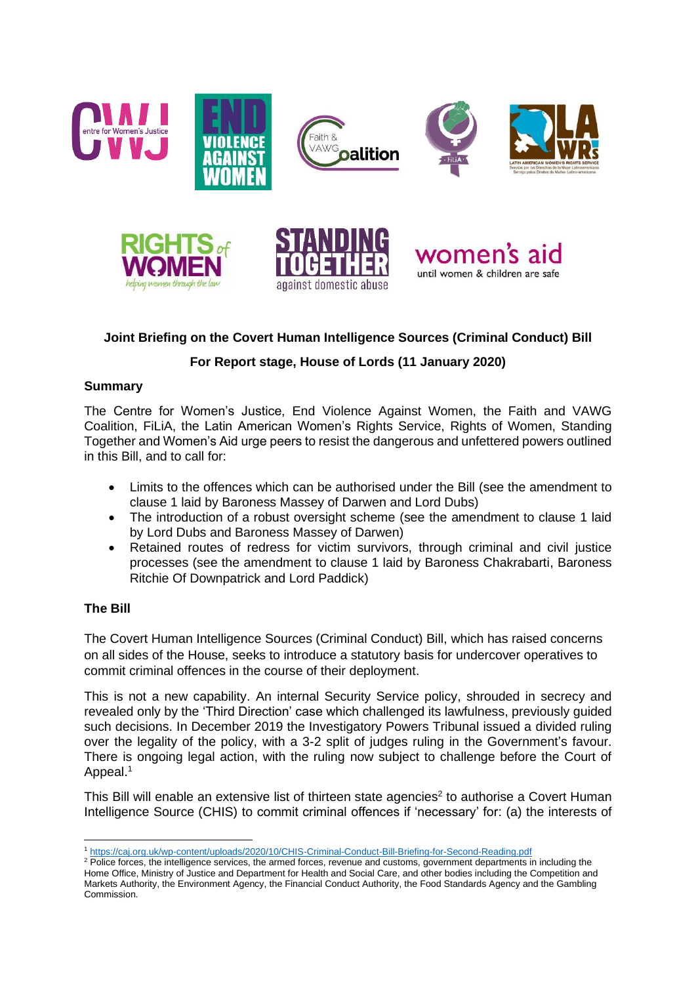







# **Joint Briefing on the Covert Human Intelligence Sources (Criminal Conduct) Bill**

## **For Report stage, House of Lords (11 January 2020)**

### **Summary**

The Centre for Women's Justice, End Violence Against Women, the Faith and VAWG Coalition, FiLiA, the Latin American Women's Rights Service, Rights of Women, Standing Together and Women's Aid urge peers to resist the dangerous and unfettered powers outlined in this Bill, and to call for:

- Limits to the offences which can be authorised under the Bill (see the amendment to clause 1 laid by Baroness Massey of Darwen and Lord Dubs)
- The introduction of a robust oversight scheme (see the amendment to clause 1 laid by Lord Dubs and Baroness Massey of Darwen)
- Retained routes of redress for victim survivors, through criminal and civil justice processes (see the amendment to clause 1 laid by Baroness Chakrabarti, Baroness Ritchie Of Downpatrick and Lord Paddick)

## **The Bill**

The Covert Human Intelligence Sources (Criminal Conduct) Bill, which has raised concerns on all sides of the House, seeks to introduce a statutory basis for undercover operatives to commit criminal offences in the course of their deployment.

This is not a new capability. An internal Security Service policy, shrouded in secrecy and revealed only by the 'Third Direction' case which challenged its lawfulness, previously guided such decisions. In December 2019 the Investigatory Powers Tribunal issued a divided ruling over the legality of the policy, with a 3-2 split of judges ruling in the Government's favour. There is ongoing legal action, with the ruling now subject to challenge before the Court of Appeal.<sup>1</sup>

This Bill will enable an extensive list of thirteen state agencies<sup>2</sup> to authorise a Covert Human Intelligence Source (CHIS) to commit criminal offences if 'necessary' for: (a) the interests of

<sup>1</sup> <https://caj.org.uk/wp-content/uploads/2020/10/CHIS-Criminal-Conduct-Bill-Briefing-for-Second-Reading.pdf>

<sup>&</sup>lt;sup>2</sup> Police forces, the intelligence services, the armed forces, revenue and customs, government departments in including the Home Office, Ministry of Justice and Department for Health and Social Care, and other bodies including the Competition and Markets Authority, the Environment Agency, the Financial Conduct Authority, the Food Standards Agency and the Gambling Commission.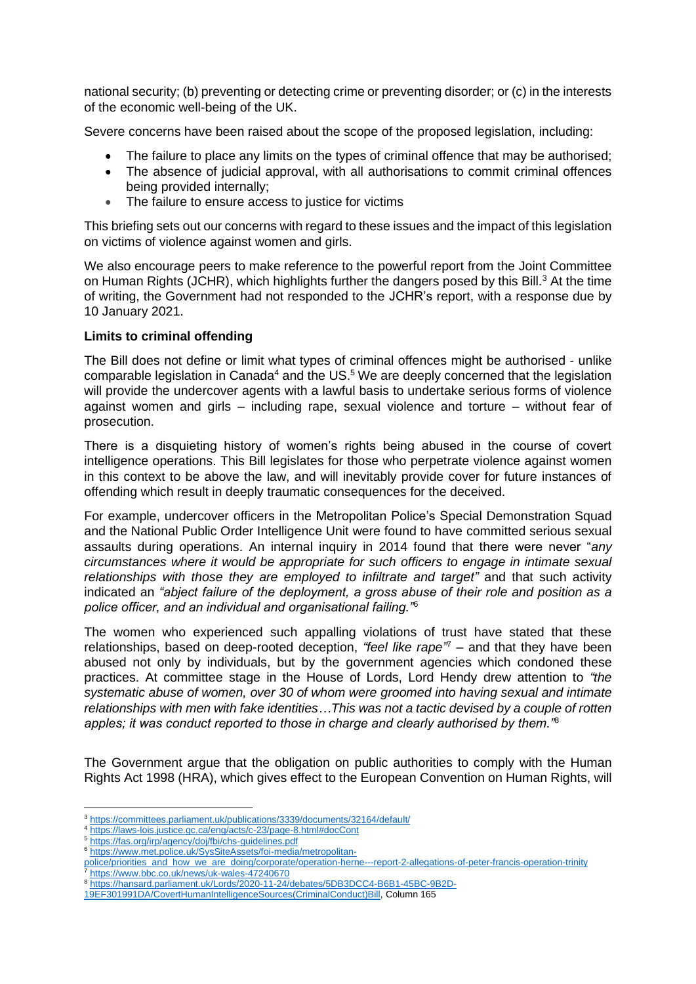national security; (b) preventing or detecting crime or preventing disorder; or (c) in the interests of the economic well-being of the UK.

Severe concerns have been raised about the scope of the proposed legislation, including:

- The failure to place any limits on the types of criminal offence that may be authorised:
- The absence of judicial approval, with all authorisations to commit criminal offences being provided internally;
- The failure to ensure access to justice for victims

This briefing sets out our concerns with regard to these issues and the impact of this legislation on victims of violence against women and girls.

We also encourage peers to make reference to the powerful report from the Joint Committee on Human Rights (JCHR), which highlights further the dangers posed by this Bill.<sup>3</sup> At the time of writing, the Government had not responded to the JCHR's report, with a response due by 10 January 2021.

#### **Limits to criminal offending**

The Bill does not define or limit what types of criminal offences might be authorised - unlike comparable legislation in Canada<sup>4</sup> and the US.<sup>5</sup> We are deeply concerned that the legislation will provide the undercover agents with a lawful basis to undertake serious forms of violence against women and girls – including rape, sexual violence and torture – without fear of prosecution.

There is a disquieting history of women's rights being abused in the course of covert intelligence operations. This Bill legislates for those who perpetrate violence against women in this context to be above the law, and will inevitably provide cover for future instances of offending which result in deeply traumatic consequences for the deceived.

For example, undercover officers in the Metropolitan Police's Special Demonstration Squad and the National Public Order Intelligence Unit were found to have committed serious sexual assaults during operations. An internal inquiry in 2014 found that there were never "*any circumstances where it would be appropriate for such officers to engage in intimate sexual relationships with those they are employed to infiltrate and target"* and that such activity indicated an *"abject failure of the deployment, a gross abuse of their role and position as a police officer, and an individual and organisational failing."*<sup>6</sup>

The women who experienced such appalling violations of trust have stated that these relationships, based on deep-rooted deception, *"feel like rape"* <sup>7</sup> – and that they have been abused not only by individuals, but by the government agencies which condoned these practices. At committee stage in the House of Lords, Lord Hendy drew attention to *"the systematic abuse of women, over 30 of whom were groomed into having sexual and intimate relationships with men with fake identities…This was not a tactic devised by a couple of rotten apples; it was conduct reported to those in charge and clearly authorised by them."*<sup>8</sup>

The Government argue that the obligation on public authorities to comply with the Human Rights Act 1998 (HRA), which gives effect to the European Convention on Human Rights, will

<sup>8</sup> [https://hansard.parliament.uk/Lords/2020-11-24/debates/5DB3DCC4-B6B1-45BC-9B2D-](https://hansard.parliament.uk/Lords/2020-11-24/debates/5DB3DCC4-B6B1-45BC-9B2D-19EF301991DA/CovertHumanIntelligenceSources(CriminalConduct)Bill)

<sup>3</sup> <https://committees.parliament.uk/publications/3339/documents/32164/default/>

<sup>4</sup> <https://laws-lois.justice.gc.ca/eng/acts/c-23/page-8.html#docCont>

<sup>5</sup> <https://fas.org/irp/agency/doj/fbi/chs-guidelines.pdf>

<sup>6</sup> [https://www.met.police.uk/SysSiteAssets/foi-media/metropolitan-](https://www.met.police.uk/SysSiteAssets/foi-media/metropolitan-police/priorities_and_how_we_are_doing/corporate/operation-herne---report-2-allegations-of-peter-francis-operation-trinity)

[police/priorities\\_and\\_how\\_we\\_are\\_doing/corporate/operation-herne---report-2-allegations-of-peter-francis-operation-trinity](https://www.met.police.uk/SysSiteAssets/foi-media/metropolitan-police/priorities_and_how_we_are_doing/corporate/operation-herne---report-2-allegations-of-peter-francis-operation-trinity) <sup>7</sup> <https://www.bbc.co.uk/news/uk-wales-47240670>

[<sup>19</sup>EF301991DA/CovertHumanIntelligenceSources\(CriminalConduct\)Bill,](https://hansard.parliament.uk/Lords/2020-11-24/debates/5DB3DCC4-B6B1-45BC-9B2D-19EF301991DA/CovertHumanIntelligenceSources(CriminalConduct)Bill) Column 165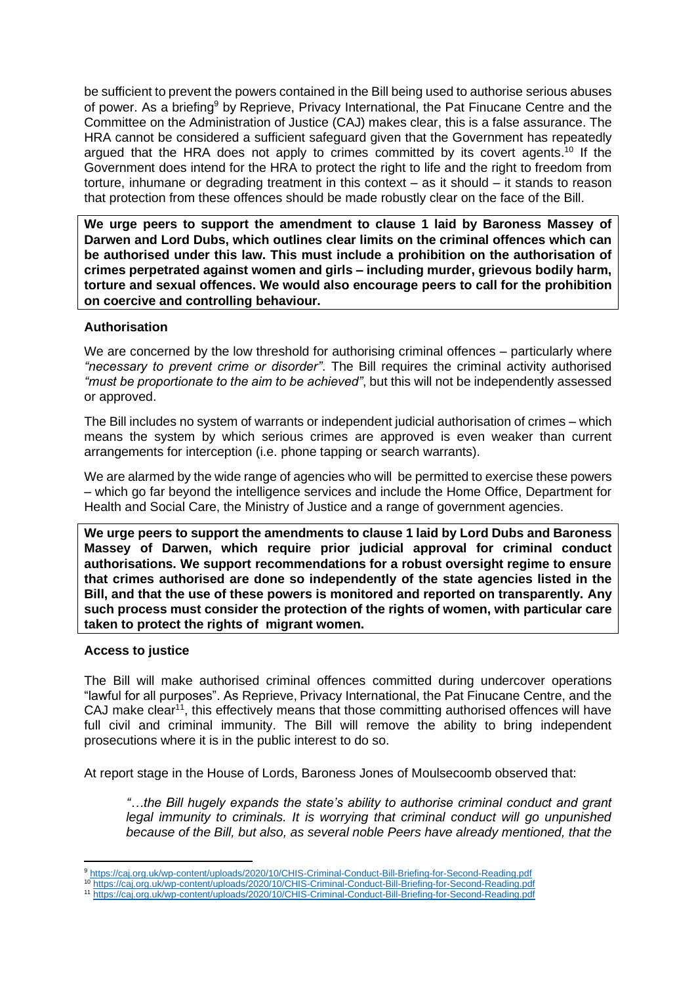be sufficient to prevent the powers contained in the Bill being used to authorise serious abuses of power. As a briefing<sup>9</sup> by Reprieve, Privacy International, the Pat Finucane Centre and the Committee on the Administration of Justice (CAJ) makes clear, this is a false assurance. The HRA cannot be considered a sufficient safeguard given that the Government has repeatedly argued that the HRA does not apply to crimes committed by its covert agents.<sup>10</sup> If the Government does intend for the HRA to protect the right to life and the right to freedom from torture, inhumane or degrading treatment in this context – as it should – it stands to reason that protection from these offences should be made robustly clear on the face of the Bill.

**We urge peers to support the amendment to clause 1 laid by Baroness Massey of Darwen and Lord Dubs, which outlines clear limits on the criminal offences which can be authorised under this law. This must include a prohibition on the authorisation of crimes perpetrated against women and girls – including murder, grievous bodily harm, torture and sexual offences. We would also encourage peers to call for the prohibition on coercive and controlling behaviour.** 

#### **Authorisation**

We are concerned by the low threshold for authorising criminal offences – particularly where *"necessary to prevent crime or disorder"*. The Bill requires the criminal activity authorised *"must be proportionate to the aim to be achieved"*, but this will not be independently assessed or approved.

The Bill includes no system of warrants or independent judicial authorisation of crimes – which means the system by which serious crimes are approved is even weaker than current arrangements for interception (i.e. phone tapping or search warrants).

We are alarmed by the wide range of agencies who will be permitted to exercise these powers – which go far beyond the intelligence services and include the Home Office, Department for Health and Social Care, the Ministry of Justice and a range of government agencies.

**We urge peers to support the amendments to clause 1 laid by Lord Dubs and Baroness Massey of Darwen, which require prior judicial approval for criminal conduct authorisations. We support recommendations for a robust oversight regime to ensure that crimes authorised are done so independently of the state agencies listed in the Bill, and that the use of these powers is monitored and reported on transparently. Any such process must consider the protection of the rights of women, with particular care taken to protect the rights of migrant women.** 

### **Access to justice**

The Bill will make authorised criminal offences committed during undercover operations "lawful for all purposes". As Reprieve, Privacy International, the Pat Finucane Centre, and the CAJ make clear<sup>11</sup>, this effectively means that those committing authorised offences will have full civil and criminal immunity. The Bill will remove the ability to bring independent prosecutions where it is in the public interest to do so.

At report stage in the House of Lords, Baroness Jones of Moulsecoomb observed that:

*"…the Bill hugely expands the state's ability to authorise criminal conduct and grant legal immunity to criminals. It is worrying that criminal conduct will go unpunished because of the Bill, but also, as several noble Peers have already mentioned, that the* 

<sup>9</sup> <https://caj.org.uk/wp-content/uploads/2020/10/CHIS-Criminal-Conduct-Bill-Briefing-for-Second-Reading.pdf>

<sup>10</sup> <https://caj.org.uk/wp-content/uploads/2020/10/CHIS-Criminal-Conduct-Bill-Briefing-for-Second-Reading.pdf>

<sup>11</sup> <https://caj.org.uk/wp-content/uploads/2020/10/CHIS-Criminal-Conduct-Bill-Briefing-for-Second-Reading.pdf>